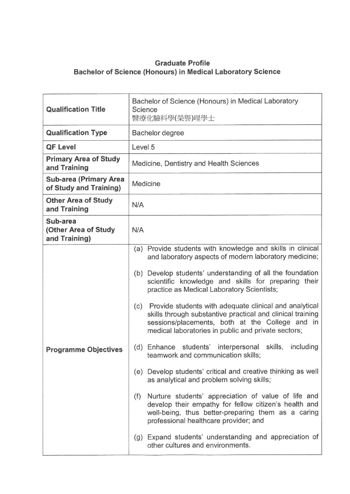## **Graduate Profile Bachelor of Science (Honours) in Medical Laboratory Science**

| <b>Qualification Title</b>                              | Bachelor of Science (Honours) in Medical Laboratory<br>Science<br>醫療化驗科學(榮譽)理學士                                                                                                                                                                                                                                                                                                                                                                                                                                                                                                                                                                                                                                                                                                                                                                                                                                                                                                                                                                                   |
|---------------------------------------------------------|-------------------------------------------------------------------------------------------------------------------------------------------------------------------------------------------------------------------------------------------------------------------------------------------------------------------------------------------------------------------------------------------------------------------------------------------------------------------------------------------------------------------------------------------------------------------------------------------------------------------------------------------------------------------------------------------------------------------------------------------------------------------------------------------------------------------------------------------------------------------------------------------------------------------------------------------------------------------------------------------------------------------------------------------------------------------|
| <b>Qualification Type</b>                               | Bachelor degree                                                                                                                                                                                                                                                                                                                                                                                                                                                                                                                                                                                                                                                                                                                                                                                                                                                                                                                                                                                                                                                   |
| <b>QF Level</b>                                         | Level 5                                                                                                                                                                                                                                                                                                                                                                                                                                                                                                                                                                                                                                                                                                                                                                                                                                                                                                                                                                                                                                                           |
| <b>Primary Area of Study</b><br>and Training            | Medicine, Dentistry and Health Sciences                                                                                                                                                                                                                                                                                                                                                                                                                                                                                                                                                                                                                                                                                                                                                                                                                                                                                                                                                                                                                           |
| <b>Sub-area (Primary Area</b><br>of Study and Training) | Medicine                                                                                                                                                                                                                                                                                                                                                                                                                                                                                                                                                                                                                                                                                                                                                                                                                                                                                                                                                                                                                                                          |
| <b>Other Area of Study</b><br>and Training              | N/A                                                                                                                                                                                                                                                                                                                                                                                                                                                                                                                                                                                                                                                                                                                                                                                                                                                                                                                                                                                                                                                               |
| Sub-area<br>(Other Area of Study<br>and Training)       | N/A                                                                                                                                                                                                                                                                                                                                                                                                                                                                                                                                                                                                                                                                                                                                                                                                                                                                                                                                                                                                                                                               |
| <b>Programme Objectives</b>                             | (a) Provide students with knowledge and skills in clinical<br>and laboratory aspects of modern laboratory medicine;<br>(b) Develop students' understanding of all the foundation<br>scientific knowledge and skills for preparing their<br>practice as Medical Laboratory Scientists;<br>Provide students with adequate clinical and analytical<br>(c)<br>skills through substantive practical and clinical training<br>sessions/placements, both at the College and in<br>medical laboratories in public and private sectors;<br>(d) Enhance students' interpersonal skills,<br>including<br>teamwork and communication skills;<br>(e) Develop students' critical and creative thinking as well<br>as analytical and problem solving skills;<br>Nurture students' appreciation of value of life and<br>(f)<br>develop their empathy for fellow citizen's health and<br>well-being, thus better-preparing them as a caring<br>professional healthcare provider; and<br>(g) Expand students' understanding and appreciation of<br>other cultures and environments. |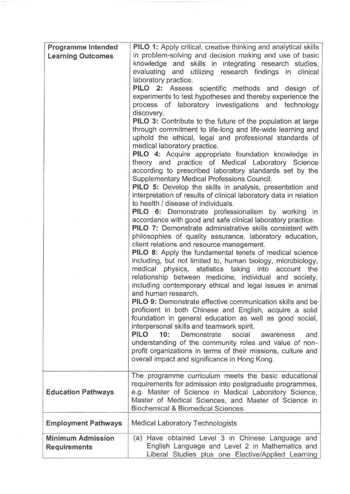| <b>Programme Intended</b>  | PILO 1: Apply critical, creative thinking and analytical skills                                                               |
|----------------------------|-------------------------------------------------------------------------------------------------------------------------------|
| <b>Learning Outcomes</b>   | in problem-solving and decision making and use of basic                                                                       |
|                            | knowledge and skills in integrating research studies,                                                                         |
|                            | evaluating and utilizing research findings in clinical                                                                        |
|                            | laboratory practice.<br>PILO 2: Assess scientific methods and design of                                                       |
|                            | experiments to test hypotheses and thereby experience the                                                                     |
|                            | process of laboratory investigations and technology                                                                           |
|                            | discovery.                                                                                                                    |
|                            | <b>PILO 3:</b> Contribute to the future of the population at large                                                            |
|                            | through commitment to life-long and life-wide learning and                                                                    |
|                            | uphold the ethical, legal and professional standards of<br>medical laboratory practice.                                       |
|                            | <b>PILO 4:</b> Acquire appropriate foundation knowledge in                                                                    |
|                            | theory and practice of Medical Laboratory Science                                                                             |
|                            | according to prescribed laboratory standards set by the                                                                       |
|                            | Supplementary Medical Professions Council.                                                                                    |
|                            | <b>PILO 5:</b> Develop the skills in analysis, presentation and                                                               |
|                            | interpretation of results of clinical laboratory data in relation<br>to health / disease of individuals.                      |
|                            | <b>PILO 6:</b> Demonstrate professionalism by working in                                                                      |
|                            | accordance with good and safe clinical laboratory practice.                                                                   |
|                            | <b>PILO 7:</b> Demonstrate administrative skills consistent with                                                              |
|                            | philosophies of quality assurance, laboratory education,                                                                      |
|                            | client relations and resource management.                                                                                     |
|                            | <b>PILO 8:</b> Apply the fundamental tenets of medical science<br>including, but not limited to, human biology, microbiology, |
|                            | medical physics, statistics taking into account the                                                                           |
|                            | relationship between medicine, individual and society,                                                                        |
|                            | including contemporary ethical and legal issues in animal                                                                     |
|                            | and human research.                                                                                                           |
|                            | <b>PILO 9:</b> Demonstrate effective communication skills and be                                                              |
|                            | proficient in both Chinese and English, acquire a solid<br>foundation in general education as well as good social,            |
|                            | interpersonal skills and teamwork spirit.                                                                                     |
|                            | <b>PILO</b><br>10:<br>Demonstrate<br>social<br>and<br>awareness                                                               |
|                            | understanding of the community roles and value of non-                                                                        |
|                            | profit organizations in terms of their missions, culture and                                                                  |
|                            | overall impact and significance in Hong Kong.                                                                                 |
|                            | The programme curriculum meets the basic educational                                                                          |
|                            | requirements for admission into postgraduate programmes,                                                                      |
| <b>Education Pathways</b>  | e.g. Master of Science in Medical Laboratory Science,                                                                         |
|                            | Master of Medical Sciences, and Master of Science in                                                                          |
|                            | Biochemical & Biomedical Sciences.                                                                                            |
| <b>Employment Pathways</b> | <b>Medical Laboratory Technologists</b>                                                                                       |
| <b>Minimum Admission</b>   | (a) Have obtained Level 3 in Chinese Language and                                                                             |
| <b>Requirements</b>        | English Language and Level 2 in Mathematics and                                                                               |
|                            | Liberal Studies plus one Elective/Applied Learning                                                                            |